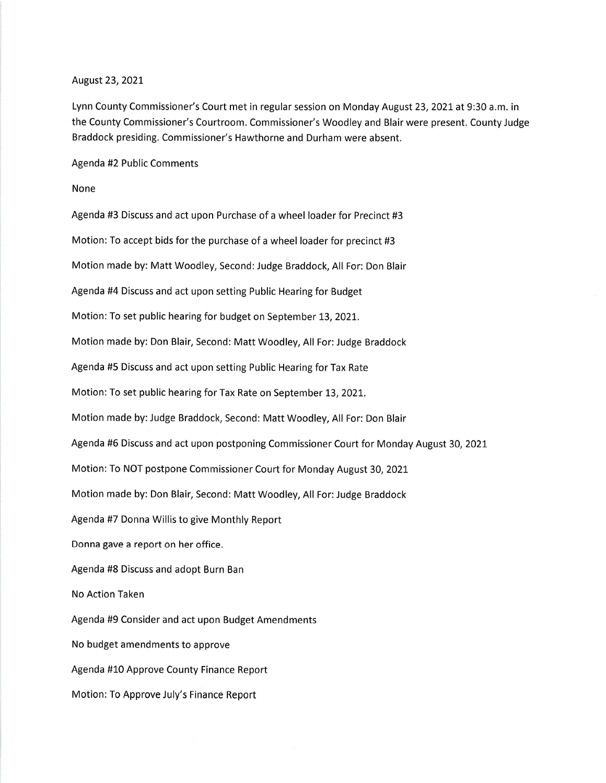## August 23,2021

Lynn County Commissioner's Court met in regular session on Monday August 23, 2021 at 9:30 a.m. in the County Commissioner's Courtroom. Commissioner's Woodley and Blair were present. County Judge Braddock presiding. Commissioner's Hawthorne and Durham were absent.

Agenda #2 Public Comments

## None

Agenda #3 Discuss and act upon Purchase of a wheel loader for Precinct #3 Motion: To accept bids for the purchase of a wheel loader for precinct #3 Motion made by: Matt Woodley, Second: Judge Braddock, All For: Don Blair Agenda #4 Discuss and act upon setting Public Hearing for Budget Motion: To set public hearing for budget on September 13,202L. Motion made by: Don Blair, Second: Matt Woodley, All For: Judge Braddock Agenda #5 Discuss and act upon setting Public Hearing for Tax Rate Motion: To set public hearing for Tax Rate on September 13, 2021. Motion made by: Judge Braddock, Second: Matt Woodley, All For: Don Blair Agenda #6 Discuss and act upon postponing Commissioner Court for Monday August 30,2021 Motion: To NOT postpone Commissioner Court for Monday August 30,2021 Motion made by: Don Blair, Second: Matt Woodley, All For:Judge Braddock Agenda #7 Donna Willis to give Monthly Report Donna gave a report on her office. Agenda #8 Discuss and adopt Burn Ban No Action Taken Agenda #9 Consider and act upon Budget Amendments No budget amendments to approve Agenda #10 Approve County Finance Report Motion: To Approve July's Finance Report